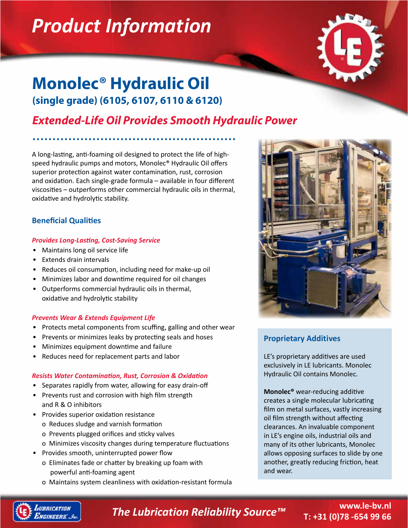# *Product Information*



# **Monolec® Hydraulic Oil (single grade) (6105, 6107, 6110 & 6120)**

## *Extended-Life Oil Provides Smooth Hydraulic Power*

A long-lasting, anti-foaming oil designed to protect the life of highspeed hydraulic pumps and motors, Monolec® Hydraulic Oil offers superior protection against water contamination, rust, corrosion and oxidation. Each single-grade formula – available in four different viscosities – outperforms other commercial hydraulic oils in thermal, oxidative and hydrolytic stability.

### **Beneficial Qualities**

#### *Provides Long-Lasting, Cost-Saving Service*

- Maintains long oil service life
- Extends drain intervals
- Reduces oil consumption, including need for make-up oil
- Minimizes labor and downtime required for oil changes
- Outperforms commercial hydraulic oils in thermal, oxidative and hydrolytic stability

### *Prevents Wear & Extends Equipment Life*

- Protects metal components from scuffing, galling and other wear
- Prevents or minimizes leaks by protecting seals and hoses
- Minimizes equipment downtime and failure
- Reduces need for replacement parts and labor

### *Resists Water Contamination, Rust, Corrosion & Oxidation*

- Separates rapidly from water, allowing for easy drain-off
- Prevents rust and corrosion with high film strength and R & O inhibitors
- Provides superior oxidation resistance
	- o Reduces sludge and varnish formation
	- o Prevents plugged orifices and sticky valves
	- o Minimizes viscosity changes during temperature fluctuations
- Provides smooth, uninterrupted power flow
	- o Eliminates fade or chatter by breaking up foam with powerful anti-foaming agent
	- o Maintains system cleanliness with oxidation-resistant formula



## **Proprietary Additives**

LE's proprietary additives are used exclusively in LE lubricants. Monolec Hydraulic Oil contains Monolec.

**Monolec®** wear-reducing additive creates a single molecular lubricating film on metal surfaces, vastly increasing oil film strength without affecting clearances. An invaluable component in LE's engine oils, industrial oils and many of its other lubricants, Monolec allows opposing surfaces to slide by one another, greatly reducing friction, heat and wear.



*The Lubrication Reliability Source™*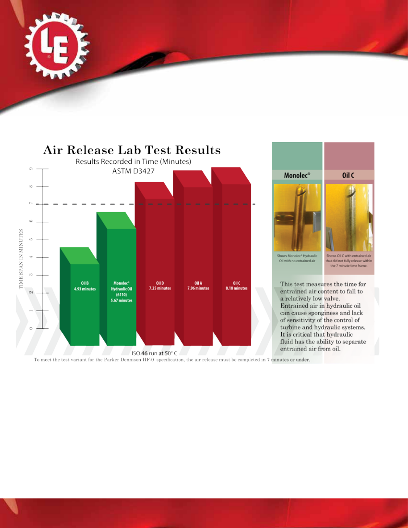





To meet the test variant for the Parker Dennison HF-0 specification, the air release must be completed in 7 minutes or under.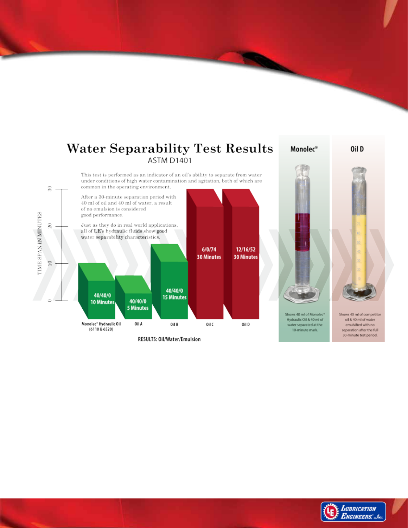#### **Water Separability Test Results** Monolec<sup>®</sup> Oil D ASTM D1401 This test is performed as an indicator of an oil's ability to separate from water under conditions of high water contamination and agitation, both of which are common in the operating environment.  $_{\rm 30}$ After a 30-minute separation period with 40 ml of oil and 40 ml of water, a result of no emulsion is considered TIME SPAN IN MINUTES good performance. Just as they do in real world applications,  $\boldsymbol{20}$ all of LE's hydraulic fluids show good water separability characteristics.  $6/0/74$ 12/16/52 **30 Minutes 30 Minutes**  $\approx$ 40/40/0 40/40/0 **15 Minutes** 40/40/0 10 Minutes **5 Minutes** Shows 40 ml of Monolec® Shows 40 ml of competitor Hydraulic Oil & 40 ml of oil & 40 ml of water Monolec<sup>®</sup> Hydraulic Oil Oil A Oil C Oil D Oil B water separated at the emulsified with no  $(6110 & 6520)$ separation after the full 10-minute mark.

RESULTS: Oil/Water/Emulsion

30-minute test period.